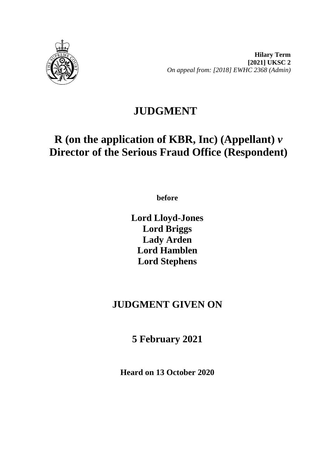

**Hilary Term [2021] UKSC 2** *On appeal from: [2018] EWHC 2368 (Admin)*

## **JUDGMENT**

# **R (on the application of KBR, Inc) (Appellant)** *v* **Director of the Serious Fraud Office (Respondent)**

**before** 

**Lord Lloyd-Jones Lord Briggs Lady Arden Lord Hamblen Lord Stephens**

## **JUDGMENT GIVEN ON**

**5 February 2021**

**Heard on 13 October 2020**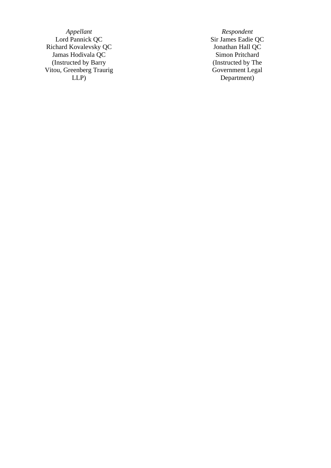*Appellant Respondent*<br> **Example 2018** *Respondent*<br> **Sir James Eadie** Richard Kovalevsky QC<br>
Jonathan Hall QC<br>
Jonathan Hall QC<br>
Simon Pritchard Jamas Hodivala QC (Instructed by Barry Vitou, Greenberg Traurig LLP )

Sir James Eadie QC<br>Jonathan Hall QC (Instructed by The Government Legal Department )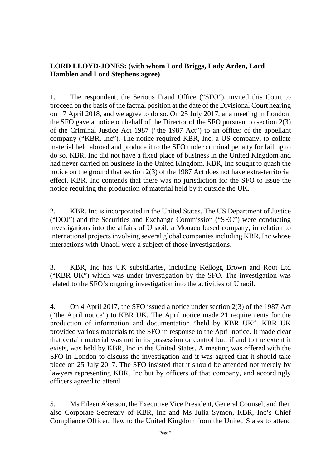### **LORD LLOYD-JONES: (with whom Lord Briggs, Lady Arden, Lord Hamblen and Lord Stephens agree)**

1. The respondent, the Serious Fraud Office ("SFO"), invited this Court to proceed on the basis of the factual position at the date of the Divisional Court hearing on 17 April 2018, and we agree to do so. On 25 July 2017, at a meeting in London, the SFO gave a notice on behalf of the Director of the SFO pursuant to section 2(3) of the Criminal Justice Act 1987 ("the 1987 Act") to an officer of the appellant company ("KBR, Inc"). The notice required KBR, Inc, a US company, to collate material held abroad and produce it to the SFO under criminal penalty for failing to do so. KBR, Inc did not have a fixed place of business in the United Kingdom and had never carried on business in the United Kingdom. KBR, Inc sought to quash the notice on the ground that section 2(3) of the 1987 Act does not have extra-territorial effect. KBR, Inc contends that there was no jurisdiction for the SFO to issue the notice requiring the production of material held by it outside the UK.

2. KBR, Inc is incorporated in the United States. The US Department of Justice ("DOJ") and the Securities and Exchange Commission ("SEC") were conducting investigations into the affairs of Unaoil, a Monaco based company, in relation to international projects involving several global companies including KBR, Inc whose interactions with Unaoil were a subject of those investigations.

3. KBR, Inc has UK subsidiaries, including Kellogg Brown and Root Ltd ("KBR UK") which was under investigation by the SFO. The investigation was related to the SFO's ongoing investigation into the activities of Unaoil.

4. On 4 April 2017, the SFO issued a notice under section 2(3) of the 1987 Act ("the April notice") to KBR UK. The April notice made 21 requirements for the production of information and documentation "held by KBR UK". KBR UK provided various materials to the SFO in response to the April notice. It made clear that certain material was not in its possession or control but, if and to the extent it exists, was held by KBR, Inc in the United States. A meeting was offered with the SFO in London to discuss the investigation and it was agreed that it should take place on 25 July 2017. The SFO insisted that it should be attended not merely by lawyers representing KBR, Inc but by officers of that company, and accordingly officers agreed to attend.

5. Ms Eileen Akerson, the Executive Vice President, General Counsel, and then also Corporate Secretary of KBR, Inc and Ms Julia Symon, KBR, Inc's Chief Compliance Officer, flew to the United Kingdom from the United States to attend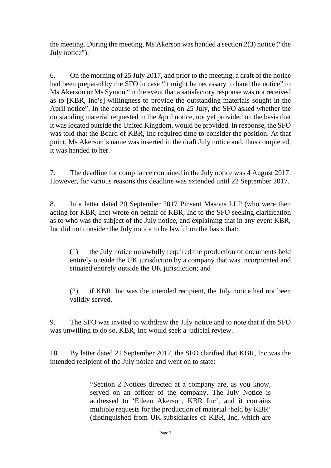the meeting. During the meeting, Ms Akerson was handed a section 2(3) notice ("the July notice").

6. On the morning of 25 July 2017, and prior to the meeting, a draft of the notice had been prepared by the SFO in case "it might be necessary to hand the notice" to Ms Akerson or Ms Symon "in the event that a satisfactory response was not received as to [KBR, Inc's] willingness to provide the outstanding materials sought in the April notice". In the course of the meeting on 25 July, the SFO asked whether the outstanding material requested in the April notice, not yet provided on the basis that it was located outside the United Kingdom, would be provided. In response, the SFO was told that the Board of KBR, Inc required time to consider the position. At that point, Ms Akerson's name was inserted in the draft July notice and, thus completed, it was handed to her.

7. The deadline for compliance contained in the July notice was 4 August 2017. However, for various reasons this deadline was extended until 22 September 2017.

8. In a letter dated 20 September 2017 Pinsent Masons LLP (who were then acting for KBR, Inc) wrote on behalf of KBR, Inc to the SFO seeking clarification as to who was the subject of the July notice, and explaining that in any event KBR, Inc did not consider the July notice to be lawful on the basis that:

(1) the July notice unlawfully required the production of documents held entirely outside the UK jurisdiction by a company that was incorporated and situated entirely outside the UK jurisdiction; and

(2) if KBR, Inc was the intended recipient, the July notice had not been validly served.

9. The SFO was invited to withdraw the July notice and to note that if the SFO was unwilling to do so, KBR, Inc would seek a judicial review.

10. By letter dated 21 September 2017, the SFO clarified that KBR, Inc was the intended recipient of the July notice and went on to state:

> "Section 2 Notices directed at a company are, as you know, served on an officer of the company. The July Notice is addressed to 'Eileen Akerson, KBR Inc', and it contains multiple requests for the production of material 'held by KBR' (distinguished from UK subsidiaries of KBR, Inc, which are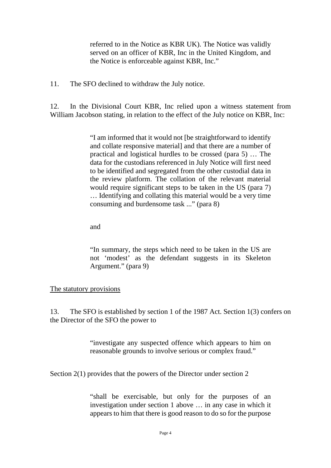referred to in the Notice as KBR UK). The Notice was validly served on an officer of KBR, Inc in the United Kingdom, and the Notice is enforceable against KBR, Inc."

11. The SFO declined to withdraw the July notice.

12. In the Divisional Court KBR, Inc relied upon a witness statement from William Jacobson stating, in relation to the effect of the July notice on KBR, Inc:

> "I am informed that it would not [be straightforward to identify and collate responsive material] and that there are a number of practical and logistical hurdles to be crossed (para 5) … The data for the custodians referenced in July Notice will first need to be identified and segregated from the other custodial data in the review platform. The collation of the relevant material would require significant steps to be taken in the US (para 7) … Identifying and collating this material would be a very time consuming and burdensome task ..." (para 8)

and

"In summary, the steps which need to be taken in the US are not 'modest' as the defendant suggests in its Skeleton Argument." (para 9)

#### The statutory provisions

13. The SFO is established by section 1 of the 1987 Act. Section 1(3) confers on the Director of the SFO the power to

> "investigate any suspected offence which appears to him on reasonable grounds to involve serious or complex fraud."

Section 2(1) provides that the powers of the Director under section 2

"shall be exercisable, but only for the purposes of an investigation under section 1 above … in any case in which it appears to him that there is good reason to do so for the purpose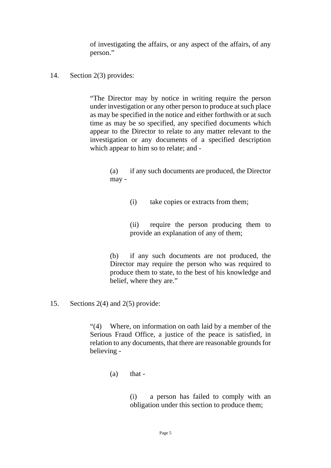of investigating the affairs, or any aspect of the affairs, of any person."

#### 14. Section 2(3) provides:

"The Director may by notice in writing require the person under investigation or any other person to produce at such place as may be specified in the notice and either forthwith or at such time as may be so specified, any specified documents which appear to the Director to relate to any matter relevant to the investigation or any documents of a specified description which appear to him so to relate; and -

> (a) if any such documents are produced, the Director may -

> > (i) take copies or extracts from them;

(ii) require the person producing them to provide an explanation of any of them;

(b) if any such documents are not produced, the Director may require the person who was required to produce them to state, to the best of his knowledge and belief, where they are."

15. Sections 2(4) and 2(5) provide:

"(4) Where, on information on oath laid by a member of the Serious Fraud Office, a justice of the peace is satisfied, in relation to any documents, that there are reasonable grounds for believing -

 $(a)$  that -

(i) a person has failed to comply with an obligation under this section to produce them;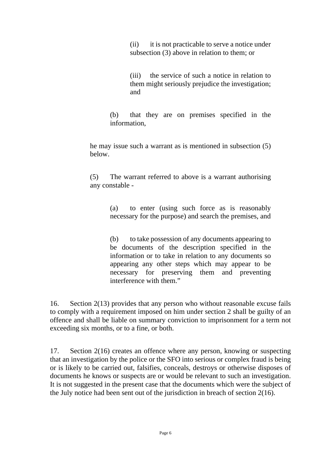(ii) it is not practicable to serve a notice under subsection (3) above in relation to them; or

(iii) the service of such a notice in relation to them might seriously prejudice the investigation; and

(b) that they are on premises specified in the information,

he may issue such a warrant as is mentioned in subsection (5) below.

(5) The warrant referred to above is a warrant authorising any constable -

> (a) to enter (using such force as is reasonably necessary for the purpose) and search the premises, and

> (b) to take possession of any documents appearing to be documents of the description specified in the information or to take in relation to any documents so appearing any other steps which may appear to be necessary for preserving them and preventing interference with them."

16. Section 2(13) provides that any person who without reasonable excuse fails to comply with a requirement imposed on him under section 2 shall be guilty of an offence and shall be liable on summary conviction to imprisonment for a term not exceeding six months, or to a fine, or both.

17. Section 2(16) creates an offence where any person, knowing or suspecting that an investigation by the police or the SFO into serious or complex fraud is being or is likely to be carried out, falsifies, conceals, destroys or otherwise disposes of documents he knows or suspects are or would be relevant to such an investigation. It is not suggested in the present case that the documents which were the subject of the July notice had been sent out of the jurisdiction in breach of section 2(16).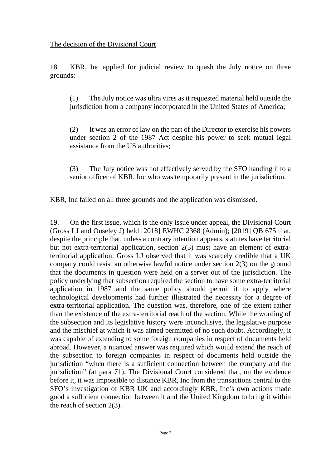18. KBR, Inc applied for judicial review to quash the July notice on three grounds:

(1) The July notice was ultra vires as it requested material held outside the jurisdiction from a company incorporated in the United States of America;

(2) It was an error of law on the part of the Director to exercise his powers under section 2 of the 1987 Act despite his power to seek mutual legal assistance from the US authorities;

(3) The July notice was not effectively served by the SFO handing it to a senior officer of KBR, Inc who was temporarily present in the jurisdiction.

KBR, Inc failed on all three grounds and the application was dismissed.

19. On the first issue, which is the only issue under appeal, the Divisional Court (Gross LJ and Ouseley J) held [2018] EWHC 2368 (Admin); [2019] QB 675 that, despite the principle that, unless a contrary intention appears, statutes have territorial but not extra-territorial application, section 2(3) must have an element of extraterritorial application. Gross LJ observed that it was scarcely credible that a UK company could resist an otherwise lawful notice under section 2(3) on the ground that the documents in question were held on a server out of the jurisdiction. The policy underlying that subsection required the section to have some extra-territorial application in 1987 and the same policy should permit it to apply where technological developments had further illustrated the necessity for a degree of extra-territorial application. The question was, therefore, one of the extent rather than the existence of the extra-territorial reach of the section. While the wording of the subsection and its legislative history were inconclusive, the legislative purpose and the mischief at which it was aimed permitted of no such doubt. Accordingly, it was capable of extending to some foreign companies in respect of documents held abroad. However, a nuanced answer was required which would extend the reach of the subsection to foreign companies in respect of documents held outside the jurisdiction "when there is a sufficient connection between the company and the jurisdiction" (at para 71). The Divisional Court considered that, on the evidence before it, it was impossible to distance KBR, Inc from the transactions central to the SFO's investigation of KBR UK and accordingly KBR, Inc's own actions made good a sufficient connection between it and the United Kingdom to bring it within the reach of section 2(3).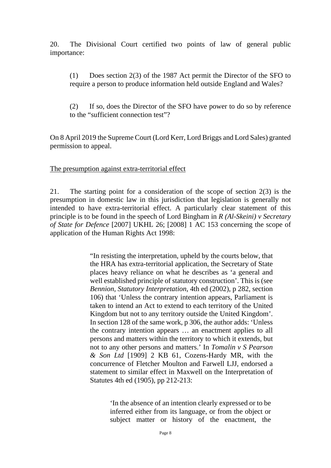20. The Divisional Court certified two points of law of general public importance:

(1) Does section 2(3) of the 1987 Act permit the Director of the SFO to require a person to produce information held outside England and Wales?

(2) If so, does the Director of the SFO have power to do so by reference to the "sufficient connection test"?

On 8 April 2019 the Supreme Court (Lord Kerr, Lord Briggs and Lord Sales) granted permission to appeal.

#### The presumption against extra-territorial effect

21. The starting point for a consideration of the scope of section 2(3) is the presumption in domestic law in this jurisdiction that legislation is generally not intended to have extra-territorial effect. A particularly clear statement of this principle is to be found in the speech of Lord Bingham in *R (Al-Skeini) v Secretary of State for Defence* [2007] UKHL 26; [2008] 1 AC 153 concerning the scope of application of the Human Rights Act 1998:

> "In resisting the interpretation, upheld by the courts below, that the HRA has extra-territorial application, the Secretary of State places heavy reliance on what he describes as 'a general and well established principle of statutory construction'. This is (see *Bennion, Statutory Interpretation*, 4th ed (2002), p 282, section 106) that 'Unless the contrary intention appears, Parliament is taken to intend an Act to extend to each territory of the United Kingdom but not to any territory outside the United Kingdom'. In section 128 of the same work, p 306, the author adds: 'Unless the contrary intention appears … an enactment applies to all persons and matters within the territory to which it extends, but not to any other persons and matters.' In *Tomalin v S Pearson & Son Ltd* [1909] 2 KB 61, Cozens-Hardy MR, with the concurrence of Fletcher Moulton and Farwell LJJ, endorsed a statement to similar effect in Maxwell on the Interpretation of Statutes 4th ed (1905), pp 212-213:

> > 'In the absence of an intention clearly expressed or to be inferred either from its language, or from the object or subject matter or history of the enactment, the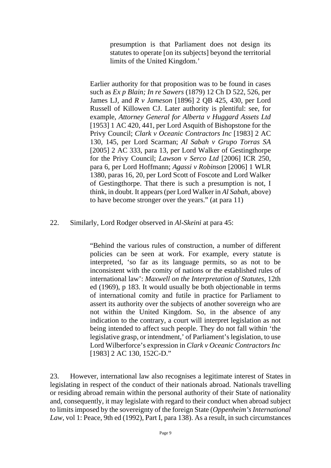presumption is that Parliament does not design its statutes to operate [on its subjects] beyond the territorial limits of the United Kingdom.'

Earlier authority for that proposition was to be found in cases such as *Ex p Blain; In re Sawers* (1879) 12 Ch D 522, 526, per James LJ, and *R v Jameson* [1896] 2 QB 425, 430, per Lord Russell of Killowen CJ. Later authority is plentiful: see, for example, *Attorney General for Alberta v Huggard Assets Ltd* [1953] 1 AC 420, 441, per Lord Asquith of Bishopstone for the Privy Council; *Clark v Oceanic Contractors Inc* [1983] 2 AC 130, 145, per Lord Scarman; *Al Sabah v Grupo Torras SA* [2005] 2 AC 333, para 13, per Lord Walker of Gestingthorpe for the Privy Council; *Lawson v Serco Ltd* [2006] ICR 250, para 6, per Lord Hoffmann; *Agassi v Robinson* [2006] 1 WLR 1380, paras 16, 20, per Lord Scott of Foscote and Lord Walker of Gestingthorpe. That there is such a presumption is not, I think, in doubt. It appears (per Lord Walker in *Al Sabah*, above) to have become stronger over the years." (at para 11)

22. Similarly, Lord Rodger observed in *Al-Skeini* at para 45:

"Behind the various rules of construction, a number of different policies can be seen at work. For example, every statute is interpreted, 'so far as its language permits, so as not to be inconsistent with the comity of nations or the established rules of international law': *Maxwell on the Interpretation of Statutes*, 12th ed (1969), p 183. It would usually be both objectionable in terms of international comity and futile in practice for Parliament to assert its authority over the subjects of another sovereign who are not within the United Kingdom. So, in the absence of any indication to the contrary, a court will interpret legislation as not being intended to affect such people. They do not fall within 'the legislative grasp, or intendment,' of Parliament's legislation, to use Lord Wilberforce's expression in *Clark v Oceanic Contractors Inc* [1983] 2 AC 130, 152C-D."

23. However, international law also recognises a legitimate interest of States in legislating in respect of the conduct of their nationals abroad. Nationals travelling or residing abroad remain within the personal authority of their State of nationality and, consequently, it may legislate with regard to their conduct when abroad subject to limits imposed by the sovereignty of the foreign State (*Oppenheim's International Law*, vol 1: Peace, 9th ed (1992), Part I, para 138). As a result, in such circumstances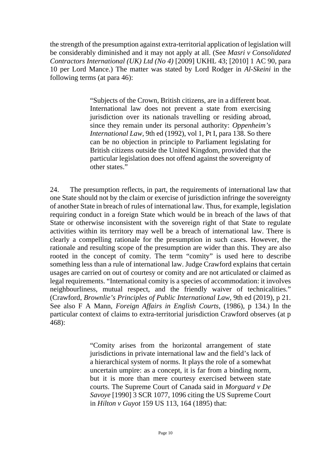the strength of the presumption against extra-territorial application of legislation will be considerably diminished and it may not apply at all. (See *Masri v Consolidated Contractors International (UK) Ltd (No 4)* [2009] UKHL 43; [2010] 1 AC 90, para 10 per Lord Mance.) The matter was stated by Lord Rodger in *Al-Skeini* in the following terms (at para 46):

> "Subjects of the Crown, British citizens, are in a different boat. International law does not prevent a state from exercising jurisdiction over its nationals travelling or residing abroad, since they remain under its personal authority: *Oppenheim's International Law*, 9th ed (1992), vol 1, Pt I, para 138. So there can be no objection in principle to Parliament legislating for British citizens outside the United Kingdom, provided that the particular legislation does not offend against the sovereignty of other states."

24. The presumption reflects, in part, the requirements of international law that one State should not by the claim or exercise of jurisdiction infringe the sovereignty of another State in breach of rules of international law. Thus, for example, legislation requiring conduct in a foreign State which would be in breach of the laws of that State or otherwise inconsistent with the sovereign right of that State to regulate activities within its territory may well be a breach of international law. There is clearly a compelling rationale for the presumption in such cases. However, the rationale and resulting scope of the presumption are wider than this. They are also rooted in the concept of comity. The term "comity" is used here to describe something less than a rule of international law. Judge Crawford explains that certain usages are carried on out of courtesy or comity and are not articulated or claimed as legal requirements. "International comity is a species of accommodation: it involves neighbourliness, mutual respect, and the friendly waiver of technicalities." (Crawford, *Brownlie's Principles of Public International Law*, 9th ed (2019), p 21. See also F A Mann, *Foreign Affairs in English Courts*, (1986), p 134.) In the particular context of claims to extra-territorial jurisdiction Crawford observes (at p 468):

> "Comity arises from the horizontal arrangement of state jurisdictions in private international law and the field's lack of a hierarchical system of norms. It plays the role of a somewhat uncertain umpire: as a concept, it is far from a binding norm, but it is more than mere courtesy exercised between state courts. The Supreme Court of Canada said in *Morguard v De Savoye* [1990] 3 SCR 1077, 1096 citing the US Supreme Court in *Hilton v Guyot* 159 US 113, 164 (1895) that: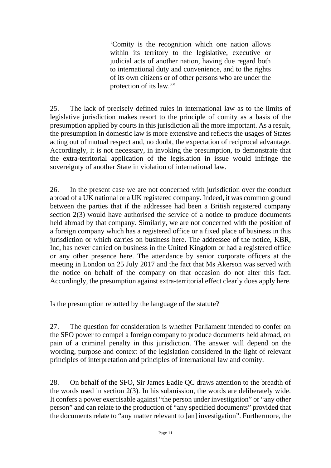'Comity is the recognition which one nation allows within its territory to the legislative, executive or judicial acts of another nation, having due regard both to international duty and convenience, and to the rights of its own citizens or of other persons who are under the protection of its law.'"

25. The lack of precisely defined rules in international law as to the limits of legislative jurisdiction makes resort to the principle of comity as a basis of the presumption applied by courts in this jurisdiction all the more important. As a result, the presumption in domestic law is more extensive and reflects the usages of States acting out of mutual respect and, no doubt, the expectation of reciprocal advantage. Accordingly, it is not necessary, in invoking the presumption, to demonstrate that the extra-territorial application of the legislation in issue would infringe the sovereignty of another State in violation of international law.

26. In the present case we are not concerned with jurisdiction over the conduct abroad of a UK national or a UK registered company. Indeed, it was common ground between the parties that if the addressee had been a British registered company section 2(3) would have authorised the service of a notice to produce documents held abroad by that company. Similarly, we are not concerned with the position of a foreign company which has a registered office or a fixed place of business in this jurisdiction or which carries on business here. The addressee of the notice, KBR, Inc, has never carried on business in the United Kingdom or had a registered office or any other presence here. The attendance by senior corporate officers at the meeting in London on 25 July 2017 and the fact that Ms Akerson was served with the notice on behalf of the company on that occasion do not alter this fact. Accordingly, the presumption against extra-territorial effect clearly does apply here.

## Is the presumption rebutted by the language of the statute?

27. The question for consideration is whether Parliament intended to confer on the SFO power to compel a foreign company to produce documents held abroad, on pain of a criminal penalty in this jurisdiction. The answer will depend on the wording, purpose and context of the legislation considered in the light of relevant principles of interpretation and principles of international law and comity.

28. On behalf of the SFO, Sir James Eadie QC draws attention to the breadth of the words used in section 2(3). In his submission, the words are deliberately wide. It confers a power exercisable against "the person under investigation" or "any other person" and can relate to the production of "any specified documents" provided that the documents relate to "any matter relevant to [an] investigation". Furthermore, the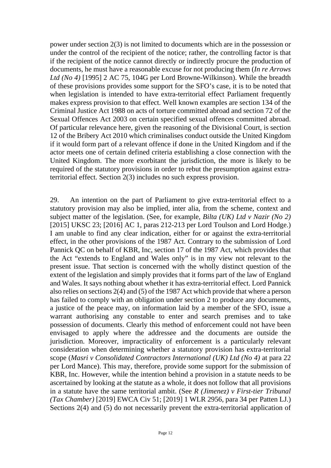power under section 2(3) is not limited to documents which are in the possession or under the control of the recipient of the notice; rather, the controlling factor is that if the recipient of the notice cannot directly or indirectly procure the production of documents, he must have a reasonable excuse for not producing them (*In re Arrows Ltd (No 4)* [1995] 2 AC 75, 104G per Lord Browne-Wilkinson). While the breadth of these provisions provides some support for the SFO's case, it is to be noted that when legislation is intended to have extra-territorial effect Parliament frequently makes express provision to that effect. Well known examples are section 134 of the Criminal Justice Act 1988 on acts of torture committed abroad and section 72 of the Sexual Offences Act 2003 on certain specified sexual offences committed abroad. Of particular relevance here, given the reasoning of the Divisional Court, is section 12 of the Bribery Act 2010 which criminalises conduct outside the United Kingdom if it would form part of a relevant offence if done in the United Kingdom and if the actor meets one of certain defined criteria establishing a close connection with the United Kingdom. The more exorbitant the jurisdiction, the more is likely to be required of the statutory provisions in order to rebut the presumption against extraterritorial effect. Section 2(3) includes no such express provision.

29. An intention on the part of Parliament to give extra-territorial effect to a statutory provision may also be implied, inter alia, from the scheme, context and subject matter of the legislation. (See, for example, *Bilta (UK) Ltd v Nazir (No 2)* [2015] UKSC 23; [2016] AC 1, paras 212-213 per Lord Toulson and Lord Hodge.) I am unable to find any clear indication, either for or against the extra-territorial effect, in the other provisions of the 1987 Act. Contrary to the submission of Lord Pannick QC on behalf of KBR, Inc, section 17 of the 1987 Act, which provides that the Act "extends to England and Wales only" is in my view not relevant to the present issue. That section is concerned with the wholly distinct question of the extent of the legislation and simply provides that it forms part of the law of England and Wales. It says nothing about whether it has extra-territorial effect. Lord Pannick also relies on sections 2(4) and (5) of the 1987 Act which provide that where a person has failed to comply with an obligation under section 2 to produce any documents, a justice of the peace may, on information laid by a member of the SFO, issue a warrant authorising any constable to enter and search premises and to take possession of documents. Clearly this method of enforcement could not have been envisaged to apply where the addressee and the documents are outside the jurisdiction. Moreover, impracticality of enforcement is a particularly relevant consideration when determining whether a statutory provision has extra-territorial scope (*Masri v Consolidated Contractors International (UK) Ltd (No 4)* at para 22 per Lord Mance). This may, therefore, provide some support for the submission of KBR, Inc. However, while the intention behind a provision in a statute needs to be ascertained by looking at the statute as a whole, it does not follow that all provisions in a statute have the same territorial ambit. (See *R (Jimenez) v First-tier Tribunal (Tax Chamber)* [2019] EWCA Civ 51; [2019] 1 WLR 2956, para 34 per Patten LJ.) Sections 2(4) and (5) do not necessarily prevent the extra-territorial application of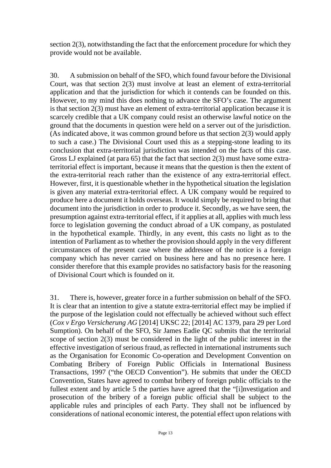section 2(3), notwithstanding the fact that the enforcement procedure for which they provide would not be available.

30. A submission on behalf of the SFO, which found favour before the Divisional Court, was that section 2(3) must involve at least an element of extra-territorial application and that the jurisdiction for which it contends can be founded on this. However, to my mind this does nothing to advance the SFO's case. The argument is that section 2(3) must have an element of extra-territorial application because it is scarcely credible that a UK company could resist an otherwise lawful notice on the ground that the documents in question were held on a server out of the jurisdiction. (As indicated above, it was common ground before us that section 2(3) would apply to such a case.) The Divisional Court used this as a stepping-stone leading to its conclusion that extra-territorial jurisdiction was intended on the facts of this case. Gross LJ explained (at para 65) that the fact that section 2(3) must have some extraterritorial effect is important, because it means that the question is then the extent of the extra-territorial reach rather than the existence of any extra-territorial effect. However, first, it is questionable whether in the hypothetical situation the legislation is given any material extra-territorial effect. A UK company would be required to produce here a document it holds overseas. It would simply be required to bring that document into the jurisdiction in order to produce it. Secondly, as we have seen, the presumption against extra-territorial effect, if it applies at all, applies with much less force to legislation governing the conduct abroad of a UK company, as postulated in the hypothetical example. Thirdly, in any event, this casts no light as to the intention of Parliament as to whether the provision should apply in the very different circumstances of the present case where the addressee of the notice is a foreign company which has never carried on business here and has no presence here. I consider therefore that this example provides no satisfactory basis for the reasoning of Divisional Court which is founded on it.

31. There is, however, greater force in a further submission on behalf of the SFO. It is clear that an intention to give a statute extra-territorial effect may be implied if the purpose of the legislation could not effectually be achieved without such effect (*Cox v Ergo Versicherung AG* [2014] UKSC 22; [2014] AC 1379, para 29 per Lord Sumption). On behalf of the SFO, Sir James Eadie QC submits that the territorial scope of section 2(3) must be considered in the light of the public interest in the effective investigation of serious fraud, as reflected in international instruments such as the Organisation for Economic Co-operation and Development Convention on Combating Bribery of Foreign Public Officials in International Business Transactions, 1997 ("the OECD Convention"). He submits that under the OECD Convention, States have agreed to combat bribery of foreign public officials to the fullest extent and by article 5 the parties have agreed that the "[i]nvestigation and prosecution of the bribery of a foreign public official shall be subject to the applicable rules and principles of each Party. They shall not be influenced by considerations of national economic interest, the potential effect upon relations with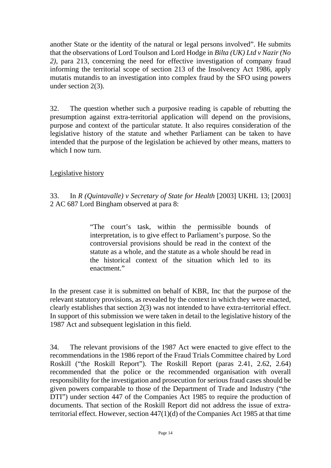another State or the identity of the natural or legal persons involved". He submits that the observations of Lord Toulson and Lord Hodge in *Bilta (UK) Ltd v Nazir (No 2)*, para 213, concerning the need for effective investigation of company fraud informing the territorial scope of section 213 of the Insolvency Act 1986, apply mutatis mutandis to an investigation into complex fraud by the SFO using powers under section 2(3).

32. The question whether such a purposive reading is capable of rebutting the presumption against extra-territorial application will depend on the provisions, purpose and context of the particular statute. It also requires consideration of the legislative history of the statute and whether Parliament can be taken to have intended that the purpose of the legislation be achieved by other means, matters to which I now turn.

## Legislative history

33. In *R (Quintavalle) v Secretary of State for Health* [2003] UKHL 13; [2003] 2 AC 687 Lord Bingham observed at para 8:

> "The court's task, within the permissible bounds of interpretation, is to give effect to Parliament's purpose. So the controversial provisions should be read in the context of the statute as a whole, and the statute as a whole should be read in the historical context of the situation which led to its enactment."

In the present case it is submitted on behalf of KBR, Inc that the purpose of the relevant statutory provisions, as revealed by the context in which they were enacted, clearly establishes that section 2(3) was not intended to have extra-territorial effect. In support of this submission we were taken in detail to the legislative history of the 1987 Act and subsequent legislation in this field.

34. The relevant provisions of the 1987 Act were enacted to give effect to the recommendations in the 1986 report of the Fraud Trials Committee chaired by Lord Roskill ("the Roskill Report"). The Roskill Report (paras 2.41, 2.62, 2.64) recommended that the police or the recommended organisation with overall responsibility for the investigation and prosecution for serious fraud cases should be given powers comparable to those of the Department of Trade and Industry ("the DTI") under section 447 of the Companies Act 1985 to require the production of documents. That section of the Roskill Report did not address the issue of extraterritorial effect. However, section 447(1)(d) of the Companies Act 1985 at that time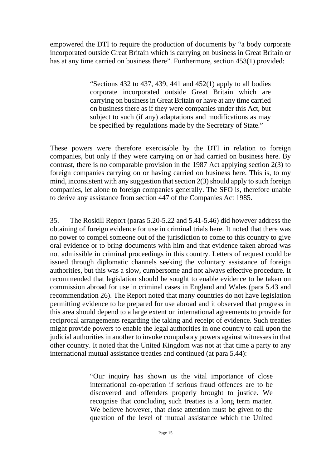empowered the DTI to require the production of documents by "a body corporate incorporated outside Great Britain which is carrying on business in Great Britain or has at any time carried on business there". Furthermore, section 453(1) provided:

> "Sections  $432$  to  $437$ ,  $439$ ,  $441$  and  $452(1)$  apply to all bodies corporate incorporated outside Great Britain which are carrying on business in Great Britain or have at any time carried on business there as if they were companies under this Act, but subject to such (if any) adaptations and modifications as may be specified by regulations made by the Secretary of State."

These powers were therefore exercisable by the DTI in relation to foreign companies, but only if they were carrying on or had carried on business here. By contrast, there is no comparable provision in the 1987 Act applying section 2(3) to foreign companies carrying on or having carried on business here. This is, to my mind, inconsistent with any suggestion that section 2(3) should apply to such foreign companies, let alone to foreign companies generally. The SFO is, therefore unable to derive any assistance from section 447 of the Companies Act 1985.

35. The Roskill Report (paras 5.20-5.22 and 5.41-5.46) did however address the obtaining of foreign evidence for use in criminal trials here. It noted that there was no power to compel someone out of the jurisdiction to come to this country to give oral evidence or to bring documents with him and that evidence taken abroad was not admissible in criminal proceedings in this country. Letters of request could be issued through diplomatic channels seeking the voluntary assistance of foreign authorities, but this was a slow, cumbersome and not always effective procedure. It recommended that legislation should be sought to enable evidence to be taken on commission abroad for use in criminal cases in England and Wales (para 5.43 and recommendation 26). The Report noted that many countries do not have legislation permitting evidence to be prepared for use abroad and it observed that progress in this area should depend to a large extent on international agreements to provide for reciprocal arrangements regarding the taking and receipt of evidence. Such treaties might provide powers to enable the legal authorities in one country to call upon the judicial authorities in another to invoke compulsory powers against witnesses in that other country. It noted that the United Kingdom was not at that time a party to any international mutual assistance treaties and continued (at para 5.44):

> "Our inquiry has shown us the vital importance of close international co-operation if serious fraud offences are to be discovered and offenders properly brought to justice. We recognise that concluding such treaties is a long term matter. We believe however, that close attention must be given to the question of the level of mutual assistance which the United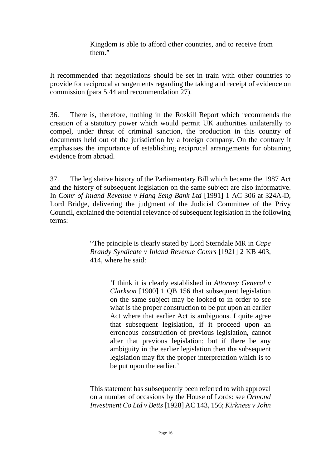Kingdom is able to afford other countries, and to receive from them."

It recommended that negotiations should be set in train with other countries to provide for reciprocal arrangements regarding the taking and receipt of evidence on commission (para 5.44 and recommendation 27).

36. There is, therefore, nothing in the Roskill Report which recommends the creation of a statutory power which would permit UK authorities unilaterally to compel, under threat of criminal sanction, the production in this country of documents held out of the jurisdiction by a foreign company. On the contrary it emphasises the importance of establishing reciprocal arrangements for obtaining evidence from abroad.

37. The legislative history of the Parliamentary Bill which became the 1987 Act and the history of subsequent legislation on the same subject are also informative. In *Comr of Inland Revenue v Hang Seng Bank Ltd* [1991] 1 AC 306 at 324A-D, Lord Bridge, delivering the judgment of the Judicial Committee of the Privy Council, explained the potential relevance of subsequent legislation in the following terms:

> "The principle is clearly stated by Lord Sterndale MR in *Cape Brandy Syndicate v Inland Revenue Comrs* [1921] 2 KB 403, 414, where he said:

> > 'I think it is clearly established in *Attorney General v Clarkson* [1900] 1 QB 156 that subsequent legislation on the same subject may be looked to in order to see what is the proper construction to be put upon an earlier Act where that earlier Act is ambiguous. I quite agree that subsequent legislation, if it proceed upon an erroneous construction of previous legislation, cannot alter that previous legislation; but if there be any ambiguity in the earlier legislation then the subsequent legislation may fix the proper interpretation which is to be put upon the earlier.'

This statement has subsequently been referred to with approval on a number of occasions by the House of Lords: see *Ormond Investment Co Ltd v Betts* [1928] AC 143, 156; *Kirkness v John*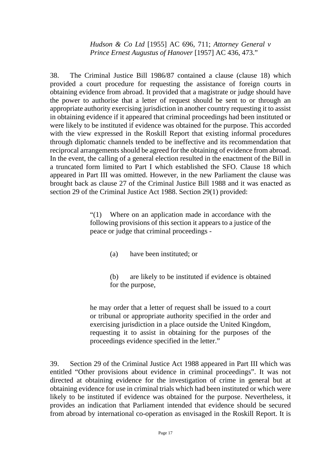*Hudson & Co Ltd* [1955] AC 696, 711; *Attorney General v Prince Ernest Augustus of Hanover* [1957] AC 436, 473."

38. The Criminal Justice Bill 1986/87 contained a clause (clause 18) which provided a court procedure for requesting the assistance of foreign courts in obtaining evidence from abroad. It provided that a magistrate or judge should have the power to authorise that a letter of request should be sent to or through an appropriate authority exercising jurisdiction in another country requesting it to assist in obtaining evidence if it appeared that criminal proceedings had been instituted or were likely to be instituted if evidence was obtained for the purpose. This accorded with the view expressed in the Roskill Report that existing informal procedures through diplomatic channels tended to be ineffective and its recommendation that reciprocal arrangements should be agreed for the obtaining of evidence from abroad. In the event, the calling of a general election resulted in the enactment of the Bill in a truncated form limited to Part I which established the SFO. Clause 18 which appeared in Part III was omitted. However, in the new Parliament the clause was brought back as clause 27 of the Criminal Justice Bill 1988 and it was enacted as section 29 of the Criminal Justice Act 1988. Section 29(1) provided:

> "(1) Where on an application made in accordance with the following provisions of this section it appears to a justice of the peace or judge that criminal proceedings -

- (a) have been instituted; or
- (b) are likely to be instituted if evidence is obtained for the purpose,

he may order that a letter of request shall be issued to a court or tribunal or appropriate authority specified in the order and exercising jurisdiction in a place outside the United Kingdom, requesting it to assist in obtaining for the purposes of the proceedings evidence specified in the letter."

39. Section 29 of the Criminal Justice Act 1988 appeared in Part III which was entitled "Other provisions about evidence in criminal proceedings". It was not directed at obtaining evidence for the investigation of crime in general but at obtaining evidence for use in criminal trials which had been instituted or which were likely to be instituted if evidence was obtained for the purpose. Nevertheless, it provides an indication that Parliament intended that evidence should be secured from abroad by international co-operation as envisaged in the Roskill Report. It is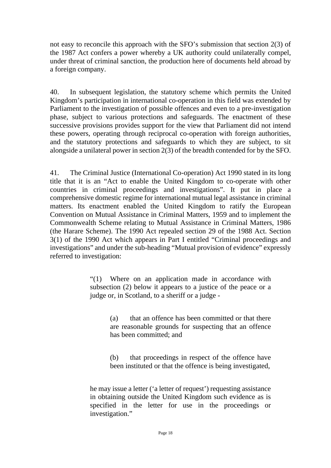not easy to reconcile this approach with the SFO's submission that section 2(3) of the 1987 Act confers a power whereby a UK authority could unilaterally compel, under threat of criminal sanction, the production here of documents held abroad by a foreign company.

40. In subsequent legislation, the statutory scheme which permits the United Kingdom's participation in international co-operation in this field was extended by Parliament to the investigation of possible offences and even to a pre-investigation phase, subject to various protections and safeguards. The enactment of these successive provisions provides support for the view that Parliament did not intend these powers, operating through reciprocal co-operation with foreign authorities, and the statutory protections and safeguards to which they are subject, to sit alongside a unilateral power in section 2(3) of the breadth contended for by the SFO.

41. The Criminal Justice (International Co-operation) Act 1990 stated in its long title that it is an "Act to enable the United Kingdom to co-operate with other countries in criminal proceedings and investigations". It put in place a comprehensive domestic regime for international mutual legal assistance in criminal matters. Its enactment enabled the United Kingdom to ratify the European Convention on Mutual Assistance in Criminal Matters, 1959 and to implement the Commonwealth Scheme relating to Mutual Assistance in Criminal Matters, 1986 (the Harare Scheme). The 1990 Act repealed section 29 of the 1988 Act. Section 3(1) of the 1990 Act which appears in Part I entitled "Criminal proceedings and investigations" and under the sub-heading "Mutual provision of evidence" expressly referred to investigation:

> "(1) Where on an application made in accordance with subsection (2) below it appears to a justice of the peace or a judge or, in Scotland, to a sheriff or a judge -

> > (a) that an offence has been committed or that there are reasonable grounds for suspecting that an offence has been committed; and

> > (b) that proceedings in respect of the offence have been instituted or that the offence is being investigated,

he may issue a letter ('a letter of request') requesting assistance in obtaining outside the United Kingdom such evidence as is specified in the letter for use in the proceedings or investigation."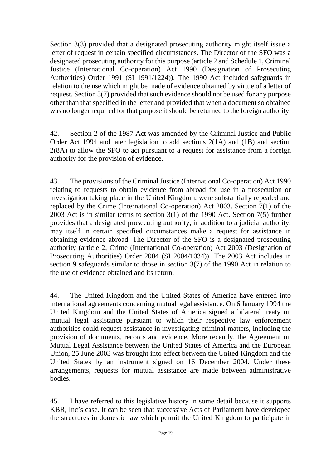Section 3(3) provided that a designated prosecuting authority might itself issue a letter of request in certain specified circumstances. The Director of the SFO was a designated prosecuting authority for this purpose (article 2 and Schedule 1, Criminal Justice (International Co-operation) Act 1990 (Designation of Prosecuting Authorities) Order 1991 (SI 1991/1224)). The 1990 Act included safeguards in relation to the use which might be made of evidence obtained by virtue of a letter of request. Section 3(7) provided that such evidence should not be used for any purpose other than that specified in the letter and provided that when a document so obtained was no longer required for that purpose it should be returned to the foreign authority.

42. Section 2 of the 1987 Act was amended by the Criminal Justice and Public Order Act 1994 and later legislation to add sections 2(1A) and (1B) and section 2(8A) to allow the SFO to act pursuant to a request for assistance from a foreign authority for the provision of evidence.

43. The provisions of the Criminal Justice (International Co-operation) Act 1990 relating to requests to obtain evidence from abroad for use in a prosecution or investigation taking place in the United Kingdom, were substantially repealed and replaced by the Crime (International Co-operation) Act 2003. Section 7(1) of the 2003 Act is in similar terms to section 3(1) of the 1990 Act. Section 7(5) further provides that a designated prosecuting authority, in addition to a judicial authority, may itself in certain specified circumstances make a request for assistance in obtaining evidence abroad. The Director of the SFO is a designated prosecuting authority (article 2, Crime (International Co-operation) Act 2003 (Designation of Prosecuting Authorities) Order 2004 (SI 2004/1034)). The 2003 Act includes in section 9 safeguards similar to those in section 3(7) of the 1990 Act in relation to the use of evidence obtained and its return.

44. The United Kingdom and the United States of America have entered into international agreements concerning mutual legal assistance. On 6 January 1994 the United Kingdom and the United States of America signed a bilateral treaty on mutual legal assistance pursuant to which their respective law enforcement authorities could request assistance in investigating criminal matters, including the provision of documents, records and evidence. More recently, the Agreement on Mutual Legal Assistance between the United States of America and the European Union, 25 June 2003 was brought into effect between the United Kingdom and the United States by an instrument signed on 16 December 2004. Under these arrangements, requests for mutual assistance are made between administrative bodies.

45. I have referred to this legislative history in some detail because it supports KBR, Inc's case. It can be seen that successive Acts of Parliament have developed the structures in domestic law which permit the United Kingdom to participate in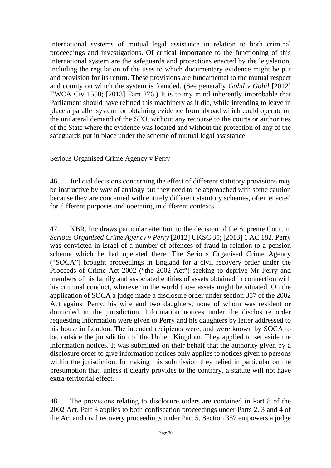international systems of mutual legal assistance in relation to both criminal proceedings and investigations. Of critical importance to the functioning of this international system are the safeguards and protections enacted by the legislation, including the regulation of the uses to which documentary evidence might be put and provision for its return. These provisions are fundamental to the mutual respect and comity on which the system is founded. (See generally *Gohil v Gohil* [2012] EWCA Civ 1550; [2013] Fam 276.) It is to my mind inherently improbable that Parliament should have refined this machinery as it did, while intending to leave in place a parallel system for obtaining evidence from abroad which could operate on the unilateral demand of the SFO, without any recourse to the courts or authorities of the State where the evidence was located and without the protection of any of the safeguards put in place under the scheme of mutual legal assistance.

### Serious Organised Crime Agency v Perry

46. Judicial decisions concerning the effect of different statutory provisions may be instructive by way of analogy but they need to be approached with some caution because they are concerned with entirely different statutory schemes, often enacted for different purposes and operating in different contexts.

47. KBR, Inc draws particular attention to the decision of the Supreme Court in *Serious Organised Crime Agency v Perry* [2012] UKSC 35; [2013] 1 AC 182. Perry was convicted in Israel of a number of offences of fraud in relation to a pension scheme which he had operated there. The Serious Organised Crime Agency ("SOCA") brought proceedings in England for a civil recovery order under the Proceeds of Crime Act 2002 ("the 2002 Act") seeking to deprive Mr Perry and members of his family and associated entities of assets obtained in connection with his criminal conduct, wherever in the world those assets might be situated. On the application of SOCA a judge made a disclosure order under section 357 of the 2002 Act against Perry, his wife and two daughters, none of whom was resident or domiciled in the jurisdiction. Information notices under the disclosure order requesting information were given to Perry and his daughters by letter addressed to his house in London. The intended recipients were, and were known by SOCA to be, outside the jurisdiction of the United Kingdom. They applied to set aside the information notices. It was submitted on their behalf that the authority given by a disclosure order to give information notices only applies to notices given to persons within the jurisdiction. In making this submission they relied in particular on the presumption that, unless it clearly provides to the contrary, a statute will not have extra-territorial effect.

48. The provisions relating to disclosure orders are contained in Part 8 of the 2002 Act. Part 8 applies to both confiscation proceedings under Parts 2, 3 and 4 of the Act and civil recovery proceedings under Part 5. Section 357 empowers a judge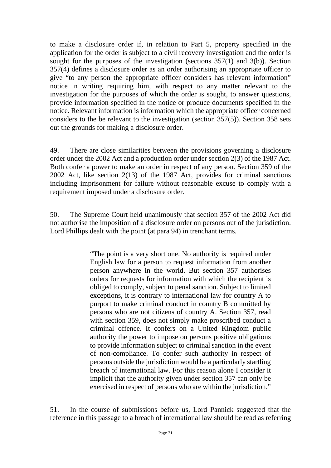to make a disclosure order if, in relation to Part 5, property specified in the application for the order is subject to a civil recovery investigation and the order is sought for the purposes of the investigation (sections 357(1) and 3(b)). Section 357(4) defines a disclosure order as an order authorising an appropriate officer to give "to any person the appropriate officer considers has relevant information" notice in writing requiring him, with respect to any matter relevant to the investigation for the purposes of which the order is sought, to answer questions, provide information specified in the notice or produce documents specified in the notice. Relevant information is information which the appropriate officer concerned considers to the be relevant to the investigation (section 357(5)). Section 358 sets out the grounds for making a disclosure order.

49. There are close similarities between the provisions governing a disclosure order under the 2002 Act and a production order under section 2(3) of the 1987 Act. Both confer a power to make an order in respect of any person. Section 359 of the 2002 Act, like section 2(13) of the 1987 Act, provides for criminal sanctions including imprisonment for failure without reasonable excuse to comply with a requirement imposed under a disclosure order.

50. The Supreme Court held unanimously that section 357 of the 2002 Act did not authorise the imposition of a disclosure order on persons out of the jurisdiction. Lord Phillips dealt with the point (at para 94) in trenchant terms.

> "The point is a very short one. No authority is required under English law for a person to request information from another person anywhere in the world. But section 357 authorises orders for requests for information with which the recipient is obliged to comply, subject to penal sanction. Subject to limited exceptions, it is contrary to international law for country A to purport to make criminal conduct in country B committed by persons who are not citizens of country A. Section 357, read with section 359, does not simply make proscribed conduct a criminal offence. It confers on a United Kingdom public authority the power to impose on persons positive obligations to provide information subject to criminal sanction in the event of non-compliance. To confer such authority in respect of persons outside the jurisdiction would be a particularly startling breach of international law. For this reason alone I consider it implicit that the authority given under section 357 can only be exercised in respect of persons who are within the jurisdiction."

51. In the course of submissions before us, Lord Pannick suggested that the reference in this passage to a breach of international law should be read as referring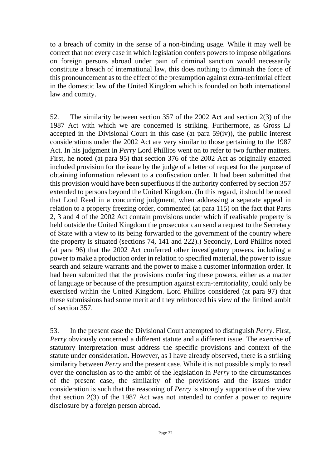to a breach of comity in the sense of a non-binding usage. While it may well be correct that not every case in which legislation confers powers to impose obligations on foreign persons abroad under pain of criminal sanction would necessarily constitute a breach of international law, this does nothing to diminish the force of this pronouncement as to the effect of the presumption against extra-territorial effect in the domestic law of the United Kingdom which is founded on both international law and comity.

52. The similarity between section 357 of the 2002 Act and section 2(3) of the 1987 Act with which we are concerned is striking. Furthermore, as Gross LJ accepted in the Divisional Court in this case (at para 59(iv)), the public interest considerations under the 2002 Act are very similar to those pertaining to the 1987 Act. In his judgment in *Perry* Lord Phillips went on to refer to two further matters. First, he noted (at para 95) that section 376 of the 2002 Act as originally enacted included provision for the issue by the judge of a letter of request for the purpose of obtaining information relevant to a confiscation order. It had been submitted that this provision would have been superfluous if the authority conferred by section 357 extended to persons beyond the United Kingdom. (In this regard, it should be noted that Lord Reed in a concurring judgment, when addressing a separate appeal in relation to a property freezing order, commented (at para 115) on the fact that Parts 2, 3 and 4 of the 2002 Act contain provisions under which if realisable property is held outside the United Kingdom the prosecutor can send a request to the Secretary of State with a view to its being forwarded to the government of the country where the property is situated (sections 74, 141 and 222).) Secondly, Lord Phillips noted (at para 96) that the 2002 Act conferred other investigatory powers, including a power to make a production order in relation to specified material, the power to issue search and seizure warrants and the power to make a customer information order. It had been submitted that the provisions conferring these powers, either as a matter of language or because of the presumption against extra-territoriality, could only be exercised within the United Kingdom. Lord Phillips considered (at para 97) that these submissions had some merit and they reinforced his view of the limited ambit of section 357.

53. In the present case the Divisional Court attempted to distinguish *Perry*. First, *Perry* obviously concerned a different statute and a different issue. The exercise of statutory interpretation must address the specific provisions and context of the statute under consideration. However, as I have already observed, there is a striking similarity between *Perry* and the present case. While it is not possible simply to read over the conclusion as to the ambit of the legislation in *Perry* to the circumstances of the present case, the similarity of the provisions and the issues under consideration is such that the reasoning of *Perry* is strongly supportive of the view that section 2(3) of the 1987 Act was not intended to confer a power to require disclosure by a foreign person abroad.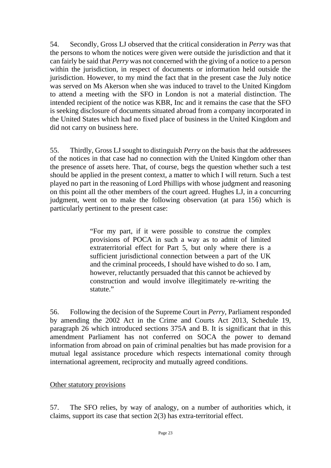54. Secondly, Gross LJ observed that the critical consideration in *Perry* was that the persons to whom the notices were given were outside the jurisdiction and that it can fairly be said that *Perry* was not concerned with the giving of a notice to a person within the jurisdiction, in respect of documents or information held outside the jurisdiction. However, to my mind the fact that in the present case the July notice was served on Ms Akerson when she was induced to travel to the United Kingdom to attend a meeting with the SFO in London is not a material distinction. The intended recipient of the notice was KBR, Inc and it remains the case that the SFO is seeking disclosure of documents situated abroad from a company incorporated in the United States which had no fixed place of business in the United Kingdom and did not carry on business here.

55. Thirdly, Gross LJ sought to distinguish *Perry* on the basis that the addressees of the notices in that case had no connection with the United Kingdom other than the presence of assets here. That, of course, begs the question whether such a test should be applied in the present context, a matter to which I will return. Such a test played no part in the reasoning of Lord Phillips with whose judgment and reasoning on this point all the other members of the court agreed. Hughes LJ, in a concurring judgment, went on to make the following observation (at para 156) which is particularly pertinent to the present case:

> "For my part, if it were possible to construe the complex provisions of POCA in such a way as to admit of limited extraterritorial effect for Part 5, but only where there is a sufficient jurisdictional connection between a part of the UK and the criminal proceeds, I should have wished to do so. I am, however, reluctantly persuaded that this cannot be achieved by construction and would involve illegitimately re-writing the statute."

56. Following the decision of the Supreme Court in *Perry*, Parliament responded by amending the 2002 Act in the Crime and Courts Act 2013, Schedule 19, paragraph 26 which introduced sections 375A and B. It is significant that in this amendment Parliament has not conferred on SOCA the power to demand information from abroad on pain of criminal penalties but has made provision for a mutual legal assistance procedure which respects international comity through international agreement, reciprocity and mutually agreed conditions.

### Other statutory provisions

57. The SFO relies, by way of analogy, on a number of authorities which, it claims, support its case that section 2(3) has extra-territorial effect.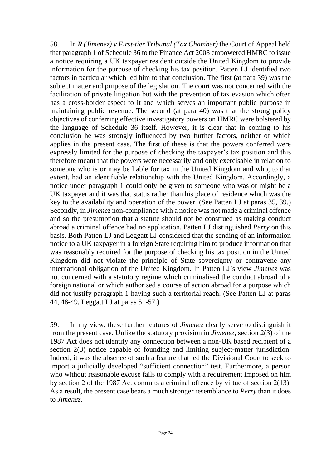58. In *R (Jimenez) v First-tier Tribunal (Tax Chamber)* the Court of Appeal held that paragraph 1 of Schedule 36 to the Finance Act 2008 empowered HMRC to issue a notice requiring a UK taxpayer resident outside the United Kingdom to provide information for the purpose of checking his tax position. Patten LJ identified two factors in particular which led him to that conclusion. The first (at para 39) was the subject matter and purpose of the legislation. The court was not concerned with the facilitation of private litigation but with the prevention of tax evasion which often has a cross-border aspect to it and which serves an important public purpose in maintaining public revenue. The second (at para 40) was that the strong policy objectives of conferring effective investigatory powers on HMRC were bolstered by the language of Schedule 36 itself. However, it is clear that in coming to his conclusion he was strongly influenced by two further factors, neither of which applies in the present case. The first of these is that the powers conferred were expressly limited for the purpose of checking the taxpayer's tax position and this therefore meant that the powers were necessarily and only exercisable in relation to someone who is or may be liable for tax in the United Kingdom and who, to that extent, had an identifiable relationship with the United Kingdom. Accordingly, a notice under paragraph 1 could only be given to someone who was or might be a UK taxpayer and it was that status rather than his place of residence which was the key to the availability and operation of the power. (See Patten LJ at paras 35, 39.) Secondly, in *Jimenez* non-compliance with a notice was not made a criminal offence and so the presumption that a statute should not be construed as making conduct abroad a criminal offence had no application. Patten LJ distinguished *Perry* on this basis. Both Patten LJ and Leggatt LJ considered that the sending of an information notice to a UK taxpayer in a foreign State requiring him to produce information that was reasonably required for the purpose of checking his tax position in the United Kingdom did not violate the principle of State sovereignty or contravene any international obligation of the United Kingdom. In Patten LJ's view *Jimenez* was not concerned with a statutory regime which criminalised the conduct abroad of a foreign national or which authorised a course of action abroad for a purpose which did not justify paragraph 1 having such a territorial reach. (See Patten LJ at paras 44, 48-49, Leggatt LJ at paras 51-57.)

59. In my view, these further features of *Jimenez* clearly serve to distinguish it from the present case. Unlike the statutory provision in *Jimenez*, section 2(3) of the 1987 Act does not identify any connection between a non-UK based recipient of a section 2(3) notice capable of founding and limiting subject-matter jurisdiction. Indeed, it was the absence of such a feature that led the Divisional Court to seek to import a judicially developed "sufficient connection" test. Furthermore, a person who without reasonable excuse fails to comply with a requirement imposed on him by section 2 of the 1987 Act commits a criminal offence by virtue of section 2(13). As a result, the present case bears a much stronger resemblance to *Perry* than it does to *Jimenez*.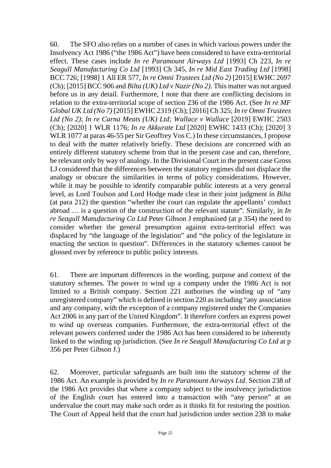60. The SFO also relies on a number of cases in which various powers under the Insolvency Act 1986 ("the 1986 Act") have been considered to have extra-territorial effect. These cases include *In re Paramount Airways Ltd* [1993] Ch 223, *In re Seagull Manufacturing Co Ltd* [1993] Ch 345, *In re Mid East Trading Ltd* [1998] BCC 726; [1998] 1 All ER 577, *In re Omni Trustees Ltd (No 2)* [2015] EWHC 2697 (Ch); [2015] BCC 906 and *Bilta (UK) Ltd v Nazir (No 2)*. This matter was not argued before us in any detail. Furthermore, I note that there are conflicting decisions in relation to the extra-territorial scope of section 236 of the 1986 Act. (See *In re MF Global UK Ltd (No 7)* [2015] EWHC 2319 (Ch); [2016] Ch 325; *In re Omni Trustees Ltd (No 2)*; *In re Carna Meats (UK) Ltd; Wallace v Wallace* [2019] EWHC 2503 (Ch); [2020] 1 WLR 1176; *In re Akkurate Ltd* [2020] EWHC 1433 (Ch); [2020] 3 WLR 1077 at paras 46-55 per Sir Geoffrey Vos C.) In these circumstances, I propose to deal with the matter relatively briefly. These decisions are concerned with an entirely different statutory scheme from that in the present case and can, therefore, be relevant only by way of analogy. In the Divisional Court in the present case Gross LJ considered that the differences between the statutory regimes did not displace the analogy or obscure the similarities in terms of policy considerations. However, while it may be possible to identify comparable public interests at a very general level, as Lord Toulson and Lord Hodge made clear in their joint judgment in *Bilta* (at para 212) the question "whether the court can regulate the appellants' conduct abroad … is a question of the construction of the relevant statute". Similarly, in *In re Seagull Manufacturing Co Ltd* Peter Gibson J emphasised (at p 354) the need to consider whether the general presumption against extra-territorial effect was displaced by "the language of the legislation" and "the policy of the legislature in enacting the section in question". Differences in the statutory schemes cannot be glossed over by reference to public policy interests.

61. There are important differences in the wording, purpose and context of the statutory schemes. The power to wind up a company under the 1986 Act is not limited to a British company. Section 221 authorises the winding up of "any unregistered company" which is defined in section 220 as including "any association and any company, with the exception of a company registered under the Companies Act 2006 in any part of the United Kingdom". It therefore confers an express power to wind up overseas companies. Furthermore, the extra-territorial effect of the relevant powers conferred under the 1986 Act has been considered to be inherently linked to the winding up jurisdiction. (See *In re Seagull Manufacturing Co Ltd* at p 356 per Peter Gibson J.)

62. Moreover, particular safeguards are built into the statutory scheme of the 1986 Act. An example is provided by *In re Paramount Airways Ltd*. Section 238 of the 1986 Act provides that where a company subject to the insolvency jurisdiction of the English court has entered into a transaction with "any person" at an undervalue the court may make such order as it thinks fit for restoring the position. The Court of Appeal held that the court had jurisdiction under section 238 to make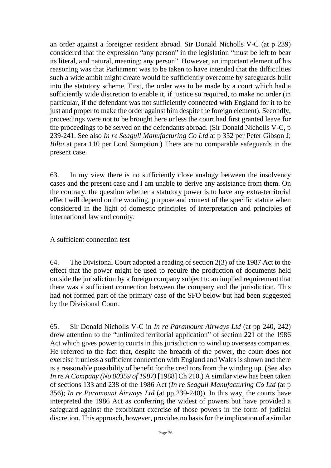an order against a foreigner resident abroad. Sir Donald Nicholls V-C (at p 239) considered that the expression "any person" in the legislation "must be left to bear its literal, and natural, meaning: any person". However, an important element of his reasoning was that Parliament was to be taken to have intended that the difficulties such a wide ambit might create would be sufficiently overcome by safeguards built into the statutory scheme. First, the order was to be made by a court which had a sufficiently wide discretion to enable it, if justice so required, to make no order (in particular, if the defendant was not sufficiently connected with England for it to be just and proper to make the order against him despite the foreign element). Secondly, proceedings were not to be brought here unless the court had first granted leave for the proceedings to be served on the defendants abroad. (Sir Donald Nicholls V-C, p 239-241. See also *In re Seagull Manufacturing Co Ltd* at p 352 per Peter Gibson J; *Bilta* at para 110 per Lord Sumption.) There are no comparable safeguards in the present case.

63. In my view there is no sufficiently close analogy between the insolvency cases and the present case and I am unable to derive any assistance from them. On the contrary, the question whether a statutory power is to have any extra-territorial effect will depend on the wording, purpose and context of the specific statute when considered in the light of domestic principles of interpretation and principles of international law and comity.

### A sufficient connection test

64. The Divisional Court adopted a reading of section 2(3) of the 1987 Act to the effect that the power might be used to require the production of documents held outside the jurisdiction by a foreign company subject to an implied requirement that there was a sufficient connection between the company and the jurisdiction. This had not formed part of the primary case of the SFO below but had been suggested by the Divisional Court.

65. Sir Donald Nicholls V-C in *In re Paramount Airways Ltd* (at pp 240, 242) drew attention to the "unlimited territorial application" of section 221 of the 1986 Act which gives power to courts in this jurisdiction to wind up overseas companies. He referred to the fact that, despite the breadth of the power, the court does not exercise it unless a sufficient connection with England and Wales is shown and there is a reasonable possibility of benefit for the creditors from the winding up. (See also *In re A Company (No 00359 of 1987)* [1988] Ch 210.) A similar view has been taken of sections 133 and 238 of the 1986 Act (*In re Seagull Manufacturing Co Ltd* (at p 356); *In re Paramount Airways Ltd* (at pp 239-240)). In this way, the courts have interpreted the 1986 Act as conferring the widest of powers but have provided a safeguard against the exorbitant exercise of those powers in the form of judicial discretion. This approach, however, provides no basis for the implication of a similar